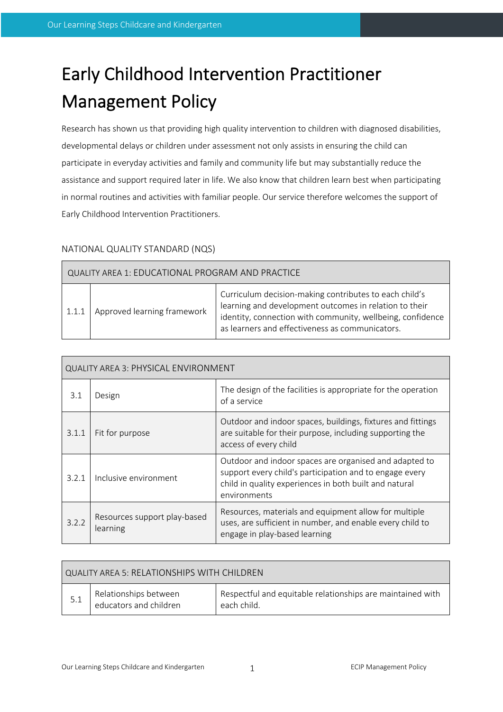# Early Childhood Intervention Practitioner Management Policy

Research has shown us that providing high quality intervention to children with diagnosed disabilities, developmental delays or children under assessment not only assists in ensuring the child can participate in everyday activities and family and community life but may substantially reduce the assistance and support required later in life. We also know that children learn best when participating in normal routines and activities with familiar people. Our service therefore welcomes the support of Early Childhood Intervention Practitioners.

# NATIONAL QUALITY STANDARD (NQS)

 $\Box$ 

| QUALITY AREA 1: EDUCATIONAL PROGRAM AND PRACTICE |                             |                                                                                                                                                                                                                                   |
|--------------------------------------------------|-----------------------------|-----------------------------------------------------------------------------------------------------------------------------------------------------------------------------------------------------------------------------------|
| 1.1.1                                            | Approved learning framework | Curriculum decision-making contributes to each child's<br>learning and development outcomes in relation to their<br>identity, connection with community, wellbeing, confidence<br>as learners and effectiveness as communicators. |

| <b>QUALITY AREA 3: PHYSICAL ENVIRONMENT</b> |                                          |                                                                                                                                                                                             |
|---------------------------------------------|------------------------------------------|---------------------------------------------------------------------------------------------------------------------------------------------------------------------------------------------|
| 3.1                                         | Design                                   | The design of the facilities is appropriate for the operation<br>of a service                                                                                                               |
| 3.1.1                                       | Fit for purpose                          | Outdoor and indoor spaces, buildings, fixtures and fittings<br>are suitable for their purpose, including supporting the<br>access of every child                                            |
| 3.2.1                                       | Inclusive environment                    | Outdoor and indoor spaces are organised and adapted to<br>support every child's participation and to engage every<br>child in quality experiences in both built and natural<br>environments |
| 3.2.2                                       | Resources support play-based<br>learning | Resources, materials and equipment allow for multiple<br>uses, are sufficient in number, and enable every child to<br>engage in play-based learning                                         |

| QUALITY AREA 5: RELATIONSHIPS WITH CHILDREN |                                                 |                                                                           |
|---------------------------------------------|-------------------------------------------------|---------------------------------------------------------------------------|
|                                             | Relationships between<br>educators and children | Respectful and equitable relationships are maintained with<br>each child. |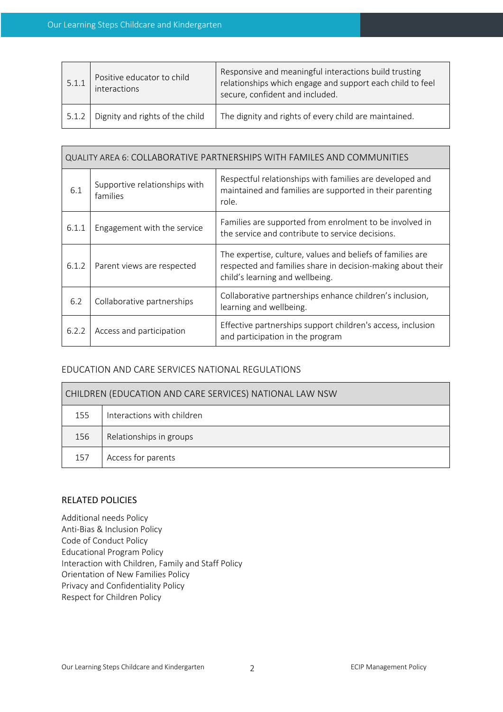| 5.1.1 | Positive educator to child<br>interactions | Responsive and meaningful interactions build trusting<br>relationships which engage and support each child to feel<br>secure, confident and included. |
|-------|--------------------------------------------|-------------------------------------------------------------------------------------------------------------------------------------------------------|
| 5.1.2 | Dignity and rights of the child            | The dignity and rights of every child are maintained.                                                                                                 |

| QUALITY AREA 6: COLLABORATIVE PARTNERSHIPS WITH FAMILES AND COMMUNITIES |                                           |                                                                                                                                                              |  |
|-------------------------------------------------------------------------|-------------------------------------------|--------------------------------------------------------------------------------------------------------------------------------------------------------------|--|
| 6.1                                                                     | Supportive relationships with<br>families | Respectful relationships with families are developed and<br>maintained and families are supported in their parenting<br>role.                                |  |
| 6.1.1                                                                   | Engagement with the service               | Families are supported from enrolment to be involved in<br>the service and contribute to service decisions.                                                  |  |
| 6.1.2                                                                   | Parent views are respected                | The expertise, culture, values and beliefs of families are<br>respected and families share in decision-making about their<br>child's learning and wellbeing. |  |
| 6.2                                                                     | Collaborative partnerships                | Collaborative partnerships enhance children's inclusion,<br>learning and wellbeing.                                                                          |  |
| 6.2.2                                                                   | Access and participation                  | Effective partnerships support children's access, inclusion<br>and participation in the program                                                              |  |

## EDUCATION AND CARE SERVICES NATIONAL REGULATIONS

| CHILDREN (EDUCATION AND CARE SERVICES) NATIONAL LAW NSW |                            |
|---------------------------------------------------------|----------------------------|
| 155                                                     | Interactions with children |
| 156                                                     | Relationships in groups    |
| 157                                                     | Access for parents         |

## RELATED POLICIES

Additional needs Policy Anti-Bias & Inclusion Policy Code of Conduct Policy Educational Program Policy Interaction with Children, Family and Staff Policy Orientation of New Families Policy Privacy and Confidentiality Policy Respect for Children Policy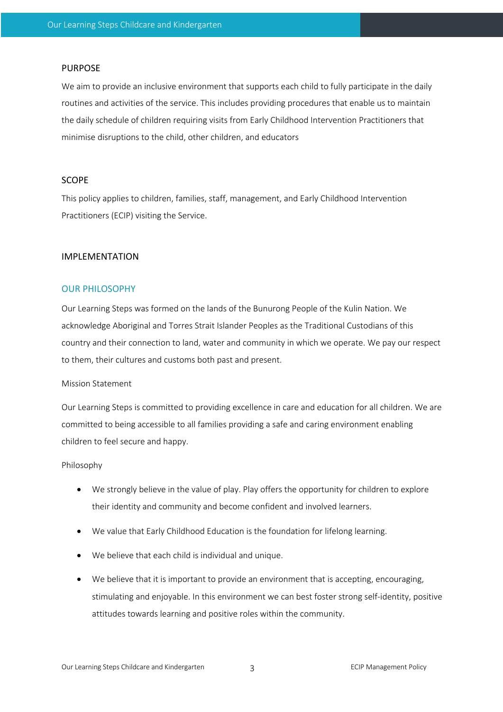#### PURPOSE

We aim to provide an inclusive environment that supports each child to fully participate in the daily routines and activities of the service. This includes providing procedures that enable us to maintain the daily schedule of children requiring visits from Early Childhood Intervention Practitioners that minimise disruptions to the child, other children, and educators

#### **SCOPE**

This policy applies to children, families, staff, management, and Early Childhood Intervention Practitioners (ECIP) visiting the Service.

#### IMPLEMENTATION

#### OUR PHILOSOPHY

Our Learning Steps was formed on the lands of the Bunurong People of the Kulin Nation. We acknowledge Aboriginal and Torres Strait Islander Peoples as the Traditional Custodians of this country and their connection to land, water and community in which we operate. We pay our respect to them, their cultures and customs both past and present.

#### Mission Statement

Our Learning Steps is committed to providing excellence in care and education for all children. We are committed to being accessible to all families providing a safe and caring environment enabling children to feel secure and happy.

#### Philosophy

- We strongly believe in the value of play. Play offers the opportunity for children to explore their identity and community and become confident and involved learners.
- We value that Early Childhood Education is the foundation for lifelong learning.
- We believe that each child is individual and unique.
- We believe that it is important to provide an environment that is accepting, encouraging, stimulating and enjoyable. In this environment we can best foster strong self-identity, positive attitudes towards learning and positive roles within the community.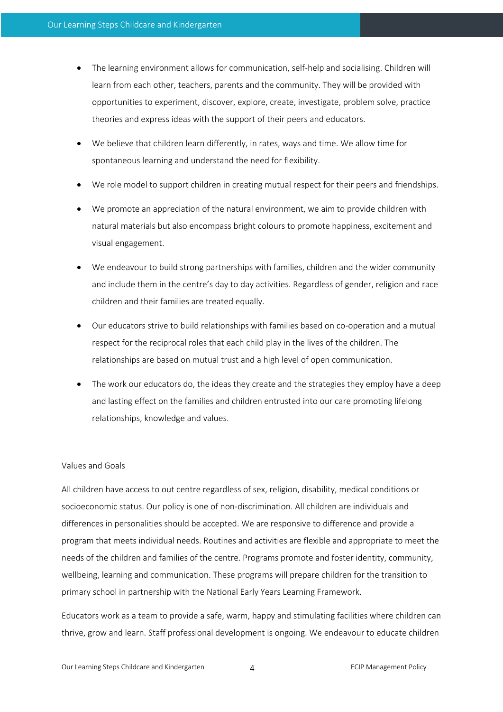- The learning environment allows for communication, self-help and socialising. Children will learn from each other, teachers, parents and the community. They will be provided with opportunities to experiment, discover, explore, create, investigate, problem solve, practice theories and express ideas with the support of their peers and educators.
- We believe that children learn differently, in rates, ways and time. We allow time for spontaneous learning and understand the need for flexibility.
- We role model to support children in creating mutual respect for their peers and friendships.
- We promote an appreciation of the natural environment, we aim to provide children with natural materials but also encompass bright colours to promote happiness, excitement and visual engagement.
- We endeavour to build strong partnerships with families, children and the wider community and include them in the centre's day to day activities. Regardless of gender, religion and race children and their families are treated equally.
- Our educators strive to build relationships with families based on co-operation and a mutual respect for the reciprocal roles that each child play in the lives of the children. The relationships are based on mutual trust and a high level of open communication.
- The work our educators do, the ideas they create and the strategies they employ have a deep and lasting effect on the families and children entrusted into our care promoting lifelong relationships, knowledge and values.

#### Values and Goals

All children have access to out centre regardless of sex, religion, disability, medical conditions or socioeconomic status. Our policy is one of non-discrimination. All children are individuals and differences in personalities should be accepted. We are responsive to difference and provide a program that meets individual needs. Routines and activities are flexible and appropriate to meet the needs of the children and families of the centre. Programs promote and foster identity, community, wellbeing, learning and communication. These programs will prepare children for the transition to primary school in partnership with the National Early Years Learning Framework.

Educators work as a team to provide a safe, warm, happy and stimulating facilities where children can thrive, grow and learn. Staff professional development is ongoing. We endeavour to educate children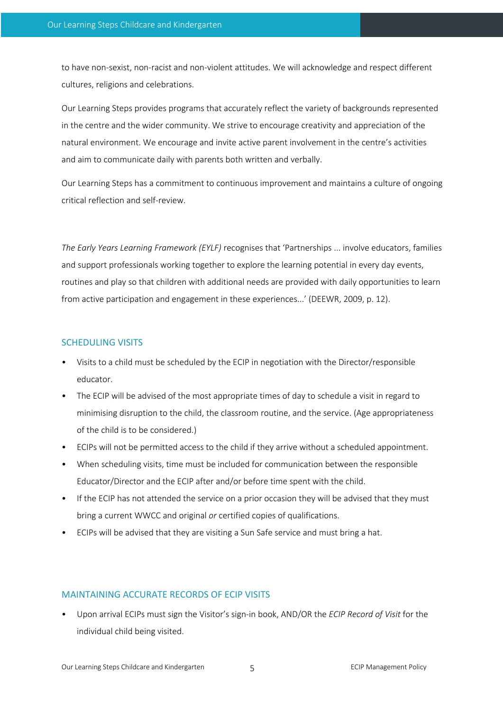to have non-sexist, non-racist and non-violent attitudes. We will acknowledge and respect different cultures, religions and celebrations.

Our Learning Steps provides programs that accurately reflect the variety of backgrounds represented in the centre and the wider community. We strive to encourage creativity and appreciation of the natural environment. We encourage and invite active parent involvement in the centre's activities and aim to communicate daily with parents both written and verbally.

Our Learning Steps has a commitment to continuous improvement and maintains a culture of ongoing critical reflection and self-review.

*The Early Years Learning Framework (EYLF)* recognises that 'Partnerships ... involve educators, families and support professionals working together to explore the learning potential in every day events, routines and play so that children with additional needs are provided with daily opportunities to learn from active participation and engagement in these experiences...' (DEEWR, 2009, p. 12).

#### SCHEDULING VISITS

- Visits to a child must be scheduled by the ECIP in negotiation with the Director/responsible educator.
- The ECIP will be advised of the most appropriate times of day to schedule a visit in regard to minimising disruption to the child, the classroom routine, and the service. (Age appropriateness of the child is to be considered.)
- ECIPs will not be permitted access to the child if they arrive without a scheduled appointment.
- When scheduling visits, time must be included for communication between the responsible Educator/Director and the ECIP after and/or before time spent with the child.
- If the ECIP has not attended the service on a prior occasion they will be advised that they must bring a current WWCC and original *or* certified copies of qualifications.
- ECIPs will be advised that they are visiting a Sun Safe service and must bring a hat.

#### MAINTAINING ACCURATE RECORDS OF ECIP VISITS

• Upon arrival ECIPs must sign the Visitor's sign-in book, AND/OR the *ECIP Record of Visit* for the individual child being visited.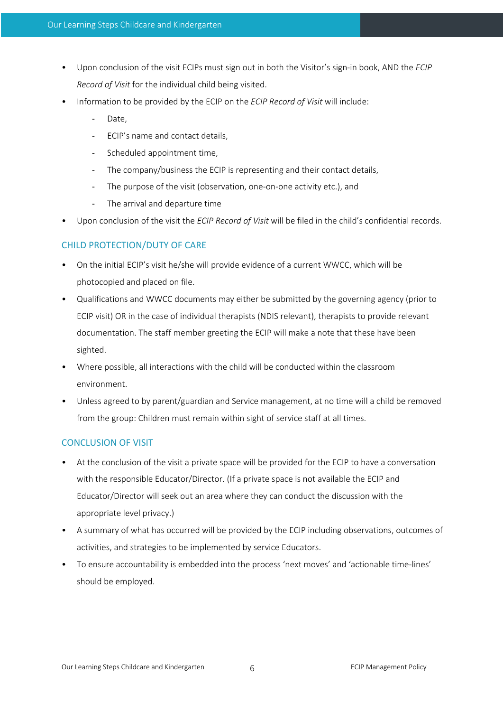- Upon conclusion of the visit ECIPs must sign out in both the Visitor's sign-in book, AND the *ECIP Record of Visit* for the individual child being visited.
- Information to be provided by the ECIP on the *ECIP Record of Visit* will include:
	- Date.
	- ECIP's name and contact details,
	- Scheduled appointment time,
	- The company/business the ECIP is representing and their contact details,
	- The purpose of the visit (observation, one-on-one activity etc.), and
	- The arrival and departure time
- Upon conclusion of the visit the *ECIP Record of Visit* will be filed in the child's confidential records.

# CHILD PROTECTION/DUTY OF CARE

- On the initial ECIP's visit he/she will provide evidence of a current WWCC, which will be photocopied and placed on file.
- Qualifications and WWCC documents may either be submitted by the governing agency (prior to ECIP visit) OR in the case of individual therapists (NDIS relevant), therapists to provide relevant documentation. The staff member greeting the ECIP will make a note that these have been sighted.
- Where possible, all interactions with the child will be conducted within the classroom environment.
- Unless agreed to by parent/guardian and Service management, at no time will a child be removed from the group: Children must remain within sight of service staff at all times.

# CONCLUSION OF VISIT

- At the conclusion of the visit a private space will be provided for the ECIP to have a conversation with the responsible Educator/Director. (If a private space is not available the ECIP and Educator/Director will seek out an area where they can conduct the discussion with the appropriate level privacy.)
- A summary of what has occurred will be provided by the ECIP including observations, outcomes of activities, and strategies to be implemented by service Educators.
- To ensure accountability is embedded into the process 'next moves' and 'actionable time-lines' should be employed.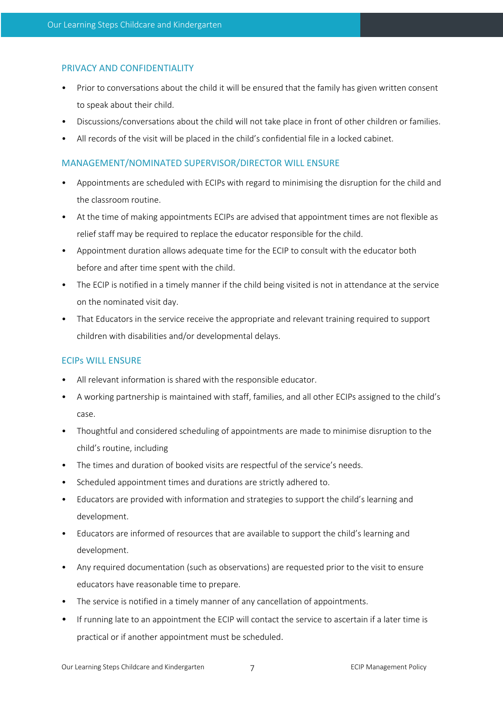## PRIVACY AND CONFIDENTIALITY

- Prior to conversations about the child it will be ensured that the family has given written consent to speak about their child.
- Discussions/conversations about the child will not take place in front of other children or families.
- All records of the visit will be placed in the child's confidential file in a locked cabinet.

## MANAGEMENT/NOMINATED SUPERVISOR/DIRECTOR WILL ENSURE

- Appointments are scheduled with ECIPs with regard to minimising the disruption for the child and the classroom routine.
- At the time of making appointments ECIPs are advised that appointment times are not flexible as relief staff may be required to replace the educator responsible for the child.
- Appointment duration allows adequate time for the ECIP to consult with the educator both before and after time spent with the child.
- The ECIP is notified in a timely manner if the child being visited is not in attendance at the service on the nominated visit day.
- That Educators in the service receive the appropriate and relevant training required to support children with disabilities and/or developmental delays.

# ECIPs WILL ENSURE

- All relevant information is shared with the responsible educator.
- A working partnership is maintained with staff, families, and all other ECIPs assigned to the child's case.
- Thoughtful and considered scheduling of appointments are made to minimise disruption to the child's routine, including
- The times and duration of booked visits are respectful of the service's needs.
- Scheduled appointment times and durations are strictly adhered to.
- Educators are provided with information and strategies to support the child's learning and development.
- Educators are informed of resources that are available to support the child's learning and development.
- Any required documentation (such as observations) are requested prior to the visit to ensure educators have reasonable time to prepare.
- The service is notified in a timely manner of any cancellation of appointments.
- If running late to an appointment the ECIP will contact the service to ascertain if a later time is practical or if another appointment must be scheduled.